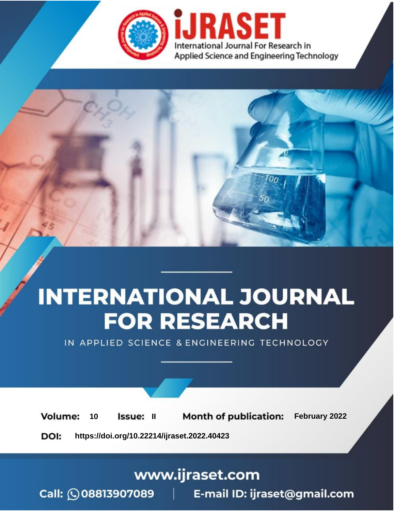

# **INTERNATIONAL JOURNAL FOR RESEARCH**

IN APPLIED SCIENCE & ENGINEERING TECHNOLOGY

**Month of publication:** February 2022 **Volume:** 10 **Issue: II** DOI: https://doi.org/10.22214/ijraset.2022.40423

www.ijraset.com

 $Call: \bigcirc$ 08813907089 E-mail ID: ijraset@gmail.com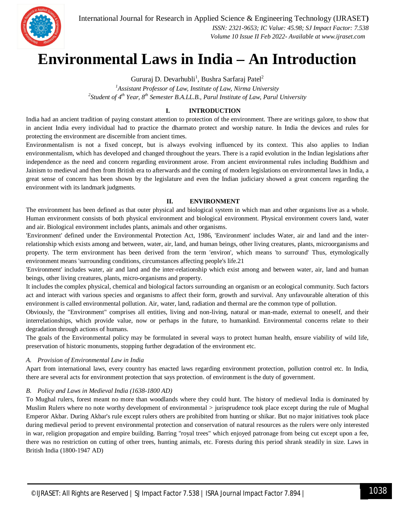

 *ISSN: 2321-9653; IC Value: 45.98; SJ Impact Factor: 7.538 Volume 10 Issue II Feb 2022- Available at www.ijraset.com*

## **Environmental Laws in India – An Introduction**

Gururaj D. Devarhubli $^1$ , Bushra Sarfaraj Patel $^2$ 

*<sup>1</sup>Assistant Professor of Law, Institute of Law, Nirma University 2 Student of 4th Year, 8th Semester B.A.LL.B., Parul Institute of Law, Parul University*

## **I. INTRODUCTION**

India had an ancient tradition of paying constant attention to protection of the environment. There are writings galore, to show that in ancient India every individual had to practice the dharmato protect and worship nature. In India the devices and rules for protecting the environment are discernible from ancient times.

Environmentalism is not a fixed concept, but is always evolving influenced by its context. This also applies to Indian environmentalism, which has developed and changed throughout the years. There is a rapid evolution in the Indian legislations after independence as the need and concern regarding environment arose. From ancient environmental rules including Buddhism and Jainism to medieval and then from British era to afterwards and the coming of modern legislations on environmental laws in India, a great sense of concern has been shown by the legislature and even the Indian judiciary showed a great concern regarding the environment with its landmark judgments.

## **II. ENVIRONMENT**

The environment has been defined as that outer physical and biological system in which man and other organisms live as a whole. Human environment consists of both physical environment and biological environment. Physical environment covers land, water and air. Biological environment includes plants, animals and other organisms.

'Environment' defined under the Environmental Protection Act, 1986, 'Environment' includes Water, air and land and the interrelationship which exists among and between, water, air, land, and human beings, other living creatures, plants, microorganisms and property. The term environment has been derived from the term 'environ', which means 'to surround' Thus, etymologically environment means 'surrounding conditions, circumstances affecting people's life.21

'Environment' includes water, air and land and the inter-relationship which exist among and between water, air, land and human beings, other living creatures, plants, micro-organisms and property.

It includes the complex physical, chemical and biological factors surrounding an organism or an ecological community. Such factors act and interact with various species and organisms to affect their form, growth and survival. Any unfavourable alteration of this environment is called environmental pollution. Air, water, land, radiation and thermal are the common type of pollution.

Obviously, the "Environment" comprises all entities, living and non-living, natural or man-made, external to oneself, and their interrelationships, which provide value, now or perhaps in the future, to humankind. Environmental concerns relate to their degradation through actions of humans.

The goals of the Environmental policy may be formulated in several ways to protect human health, ensure viability of wild life, preservation of historic monuments, stopping further degradation of the environment etc.

## *A. Provision of Environmental Law in India*

Apart from international laws, every country has enacted laws regarding environment protection, pollution control etc. In India, there are several acts for environment protection that says protection. of environment is the duty of government.

#### *B. Policy and Laws in Medieval India (1638-1800 AD)*

To Mughal rulers, forest meant no more than woodlands where they could hunt. The history of medieval India is dominated by Muslim Rulers where no note worthy development of environmental > jurisprudence took place except during the rule of Mughal Emperor Akbar. During Akbar's rule except rulers others are prohibited from hunting or shikar. But no major initiatives took place during medieval period to prevent environmental protection and conservation of natural resources as the rulers were only interested in war, religion propagation and empire building. Barring "royal trees" which enjoyed patronage from being cut except upon a fee, there was no restriction on cutting of other trees, hunting animals, etc. Forests during this period shrank steadily in size. Laws in British India (1800-1947 AD)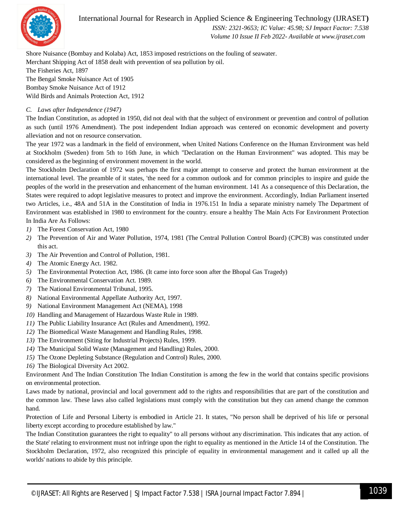

 *ISSN: 2321-9653; IC Value: 45.98; SJ Impact Factor: 7.538 Volume 10 Issue II Feb 2022- Available at www.ijraset.com*

Shore Nuisance (Bombay and Kolaba) Act, 1853 imposed restrictions on the fouling of seawater. Merchant Shipping Act of 1858 dealt with prevention of sea pollution by oil. The Fisheries Act, 1897 The Bengal Smoke Nuisance Act of 1905 Bombay Smoke Nuisance Act of 1912

Wild Birds and Animals Protection Act, 1912

## *C. Laws after Independence (1947)*

The Indian Constitution, as adopted in 1950, did not deal with that the subject of environment or prevention and control of pollution as such (until 1976 Amendment). The post independent Indian approach was centered on economic development and poverty alleviation and not on resource conservation.

The year 1972 was a landmark in the field of environment, when United Nations Conference on the Human Environment was held at Stockholm (Sweden) from 5th to 16th June, in which "Declaration on the Human Environment" was adopted. This may be considered as the beginning of environment movement in the world.

The Stockholm Declaration of 1972 was perhaps the first major attempt to conserve and protect the human environment at the international level. The preamble of it states, 'the need for a common outlook and for common principles to inspire and guide the peoples of the world in the preservation and enhancement of the human environment. 141 As a consequence of this Declaration, the States were required to adopt legislative measures to protect and improve the environment. Accordingly, Indian Parliament inserted two Articles, i.e., 48A and 51A in the Constitution of India in 1976.151 In India a separate ministry namely The Department of Environment was established in 1980 to environment for the country. ensure a healthy The Main Acts For Environment Protection In India Are As Follows:

- *1)* The Forest Conservation Act, 1980
- *2)* The Prevention of Air and Water Pollution, 1974, 1981 (The Central Pollution Control Board) (CPCB) was constituted under this act.
- *3)* The Air Prevention and Control of Pollution, 1981.
- *4)* The Atomic Energy Act. 1982.
- *5)* The Environmental Protection Act, 1986. (It came into force soon after the Bhopal Gas Tragedy)
- *6)* The Environmental Conservation Act. 1989.
- *7)* The National Environmental Tribunal, 1995.
- *8)* National Environmental Appellate Authority Act, 1997.
- *9)* National Environment Management Act (NEMA), 1998
- *10)* Handling and Management of Hazardous Waste Rule in 1989.
- *11)* The Public Liability Insurance Act (Rules and Amendment), 1992.
- *12)* The Biomedical Waste Management and Handling Rules, 1998.
- *13)* The Environment (Siting for Industrial Projects) Rules, 1999.
- *14)* The Municipal Solid Waste (Management and Handling) Rules, 2000.
- *15)* The Ozone Depleting Substance (Regulation and Control) Rules, 2000.
- *16)* The Biological Diversity Act 2002.

Environment And The Indian Constitution The Indian Constitution is among the few in the world that contains specific provisions on environmental protection.

Laws made by national, provincial and local government add to the rights and responsibilities that are part of the constitution and the common law. These laws also called legislations must comply with the constitution but they can amend change the common hand.

Protection of Life and Personal Liberty is embodied in Article 21. It states, "No person shall be deprived of his life or personal liberty except according to procedure established by law."

The Indian Constitution guarantees the right to equality" to all persons without any discrimination. This indicates that any action. of the State' relating to environment must not infringe upon the right to equality as mentioned in the Article 14 of the Constitution. The Stockholm Declaration, 1972, also recognized this principle of equality in environmental management and it called up all the worlds' nations to abide by this principle.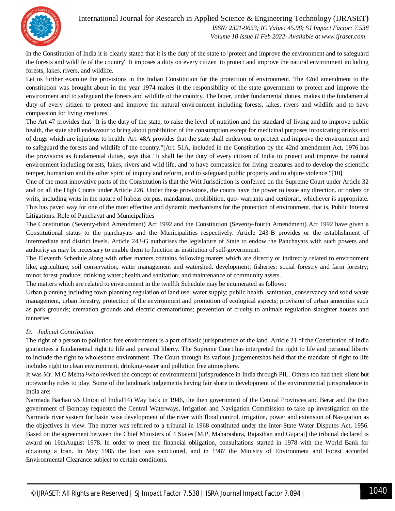

 *ISSN: 2321-9653; IC Value: 45.98; SJ Impact Factor: 7.538 Volume 10 Issue II Feb 2022- Available at www.ijraset.com*

In the Constitution of India it is clearly stated that it is the duty of the state to 'protect and improve the environment and to safeguard the forests and wildlife of the country'. It imposes a duty on every citizen 'to protect and improve the natural environment including forests, lakes, rivers, and wildlife.

Let us further examine the provisions in the Indian Constitution for the protection of environment. The 42nd amendment to the constitution was brought about in the year 1974 makes it the responsibility of the state government to protect and improve the environment and to safeguard the forests and wildlife of the country. The latter, under fundamental duties, makes it the fundamental duty of every citizen to protect and improve the natural environment including forests, lakes, rivers and wildlife and to have compassion for living creatures.

The Art 47 provides that "It is the duty of the state, to raise the level of nutrition and the standard of living and to improve public health, the state shall endeavour to bring about prohibition of the consumption except for medicinal purposes intoxicating drinks and of drugs which are injurious to health. Art. 48A provides that the state shall endeavour to protect and improve the environment and to safeguard the forests and wildlife of the country."[Art. 51A, included in the Constitution by the 42nd amendment Act, 1976 has the provisions as fundamental duties, says that "It shall be the duty of every citizen of India to protect and improve the natural environment including forests, lakes, rivers and wild life, and to have compassion for living creatures and to develop the scientific temper, humanism and the other spirit of inquiry and reform, and to safeguard public property and to abjure violence."[10]

One of the most innovative parts of the Constitution is that the Writ Jurisdiction is conferred on the Supreme Court under Article 32 and on all the High Courts under Article 226. Under these provisions, the courts have the power to issue any direction. or orders or writs, including writs in the nature of habeas corpus, mandamus, prohibition, quo- warranto and certiorari, whichever is appropriate. This has paved way for one of the most effective and dynamic mechanisms for the protection of environment, that is, Public Interest Litigations. Role of Panchayat and Municipalities

The Constitution (Seventy-third Amendment) Act 1992 and the Constitution (Seventy-fourth Amendment) Act 1992 have given a Constitutional status to the panchayats and the Municipalities respectively. Article 243-B provides or the establishment of intermediate and district levels. Article 243-G authorises the legislature of State to endow the Panchayats with such powers and authority as may be necessary to enable them to function as institution of self-government.

The Eleventh Schedule along with other matters contains following maters which are directly or indirectly related to environment like, agriculture, soil conservation, water management and watershed. development; fisheries; social forestry and farm forestry; minor forest produce; drinking water; health and sanitation; and maintenance of community assets.

The matters which are related to environment in the twelfth Schedule may be enumerated as follows:

Urban planning including town planning regulation of land use. water supply; public health, sanitation, conservancy and solid waste management, urban forestry, protection of the environment and promotion of ecological aspects; provision of urban amenities such as park grounds; cremation grounds and electric crematoriums; prevention of cruelty to animals regulation slaughter houses and tanneries.

## *D. Judicial Contribution*

The right of a person to pollution free environment is a part of basic jurisprudence of the land. Article 21 of the Constitution of India guarantees a fundamental right to life and personal liberty. The Supreme Court has interpreted the right to life and personal liberty to include the right to wholesome environment. The Court through its various judgementshas held that the mandate of right to life includes right to clean environment, drinking-water and pollution free atmosphere.

It was Mr. M.C Mehta <sup>1</sup> who revived the concept of environmental jurisprudence in India through PIL. Others too had their silent but noteworthy roles to play. Some of the landmark judgements having fair share in development of the environmental jurisprudence in India are:

Narmada Bachao v/s Union of Indial14) Way back in 1946, the then government of the Central Provinces and Berar and the then government of Bombay requested the Central Waterways, Irrigation and Navigation Commission to take up investigation on the Narmada river system for basin wise development of the river with flood control, irrigation, power and extension of Navigation as the objectives in view. The matter was referred to a tribunal in 1968 constituted under the Inter-State Water Disputes Act, 1956. Based on the agreement between the Chief Ministers of 4 States [M.P, Maharashtra, Rajasthan and Gujarat] the tribunal declared is award on 16thAugust 1978. In order to meet the financial obligation, consultations started in 1978 with the World Bank for obtaining a loan. In May 1985 the loan was sanctioned, and in 1987 the Ministry of Environment and Forest accorded Environmental Clearance subject to certain conditions.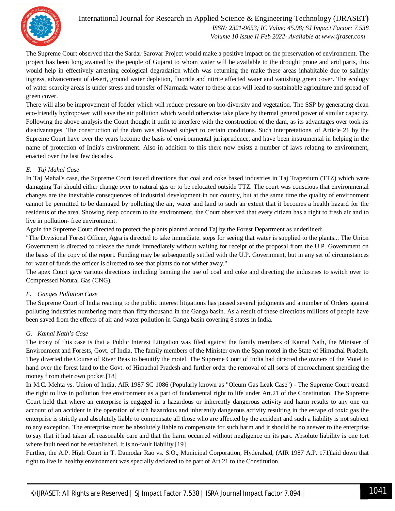

International Journal for Research in Applied Science & Engineering Technology (IJRASET**)**  *ISSN: 2321-9653; IC Value: 45.98; SJ Impact Factor: 7.538 Volume 10 Issue II Feb 2022- Available at www.ijraset.com*

The Supreme Court observed that the Sardar Sarovar Project would make a positive impact on the preservation of environment. The project has been long awaited by the people of Gujarat to whom water will be available to the drought prone and arid parts, this would help in effectively arresting ecological degradation which was returning the make these areas inhabitable due to salinity ingress, advancement of desert, ground water depletion, fluoride and nitrite affected water and vanishing green cover. The ecology of water scarcity areas is under stress and transfer of Narmada water to these areas will lead to sustainable agriculture and spread of green cover.

There will also be improvement of fodder which will reduce pressure on bio-diversity and vegetation. The SSP by generating clean eco-friendly hydropower will save the air pollution which would otherwise take place by thermal general power of similar capacity. Following the above analysis the Court thought it unfit to interfere with the construction of the dam, as its advantages over took its disadvantages. The construction of the dam was allowed subject to certain conditions. Such interpretations. of Article 21 by the Supreme Court have over the years become the basis of environmental jurisprudence, and have been instrumental in helping in the name of protection of India's environment. Also in addition to this there now exists a number of laws relating to environment, enacted over the last few decades.

## *E. Taj Mahal Case*

In Taj Mahal's case, the Supreme Court issued directions that coal and coke based industries in Taj Trapezium (TTZ) which were damaging Taj should either change over to natural gas or to be relocated outside TTZ. The court was conscious that environmental changes are the inevitable consequences of industrial development in our country, but at the same time the quality of environment cannot be permitted to be damaged by polluting the air, water and land to such an extent that it becomes a health hazard for the residents of the area. Showing deep concern to the environment, the Court observed that every citizen has a right to fresh air and to live in pollution- free environment.

Again the Supreme Court directed to protect the plants planted around Taj by the Forest Department as underlined:

"The Divisional Forest Officer, Agra is directed to take immediate. steps for seeing that water is supplied to the plants... The Union Government is directed to release the funds immediately without waiting for receipt of the proposal from the U.P. Government on the basis of the copy of the report. Funding may be subsequently settled with the U.P. Government, but in any set of circumstances for want of funds the officer is directed to see that plants do not wither away."

The apex Court gave various directions including banning the use of coal and coke and directing the industries to switch over to Compressed Natural Gas (CNG).

## *F. Ganges Pollution Case*

The Supreme Court of India reacting to the public interest litigations has passed several judgments and a number of Orders against polluting industries numbering more than fifty thousand in the Ganga basin. As a result of these directions millions of people have been saved from the effects of air and water pollution in Ganga basin covering 8 states in India.

## *G. Kamal Nath's Case*

The irony of this case is that a Public Interest Litigation was filed against the family members of Kamal Nath, the Minister of Environment and Forests, Govt. of India. The family members of the Minister own the Span motel in the State of Himachal Pradesh. They diverted the Course of River Beas to beautify the motel. The Supreme Court of India had directed the owners of the Motel to hand over the forest land to the Govt. of Himachal Pradesh and further order the removal of all sorts of encroachment spending the money f rom their own pocket.[18]

In M.C. Mehta vs. Union of India, AIR 1987 SC 1086 (Popularly known as "Oleum Gas Leak Case") - The Supreme Court treated the right to live in pollution free environment as a part of fundamental right to life under Art.21 of the Constitution. The Supreme Court held that where an enterprise is engaged in a hazardous or inherently dangerous activity and harm results to any one on account of an accident in the operation of such hazardous and inherently dangerous activity resulting in the escape of toxic gas the enterprise is strictly and absolutely liable to compensate all those who are affected by the accident and such a liability is not subject to any exception. The enterprise must be absolutely liable to compensate for such harm and it should be no answer to the enterprise to say that it had taken all reasonable care and that the harm occurred without negligence on its part. Absolute liability is one tort where fault need not be established. It is no-fault liability.[19]

Further, the A.P. High Court in T. Damodar Rao vs. S.O., Municipal Corporation, Hyderabad, (AIR 1987 A.P. 171)laid down that right to live in healthy environment was specially declared to be part of Art.21 to the Constitution.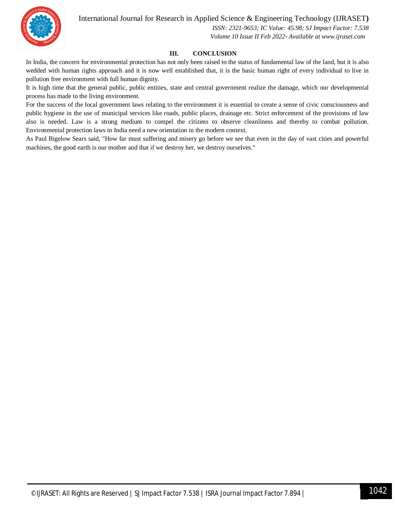

 *ISSN: 2321-9653; IC Value: 45.98; SJ Impact Factor: 7.538 Volume 10 Issue II Feb 2022- Available at www.ijraset.com*

## **III. CONCLUSION**

In India, the concern for environmental protection has not only been raised to the status of fundamental law of the land, but it is also wedded with human rights approach and it is now well established that, it is the basic human right of every individual to live in pollution free environment with full human dignity.

It is high time that the general public, public entities, state and central government realize the damage, which our developmental process has made to the living environment.

For the success of the local government laws relating to the environment it is essential to create a sense of civic consciousness and public hygiene in the use of municipal services like roads, public places, drainage etc. Strict enforcement of the provisions of law also is needed. Law is a strong medium to compel the citizens to observe cleanliness and thereby to combat pollution. Environmental protection laws in India need a new orientation in the modern context.

As Paul Bigelow Sears said, "How far must suffering and misery go before we see that even in the day of vast cities and powerful machines, the good earth is our mother and that if we destroy her, we destroy ourselves."